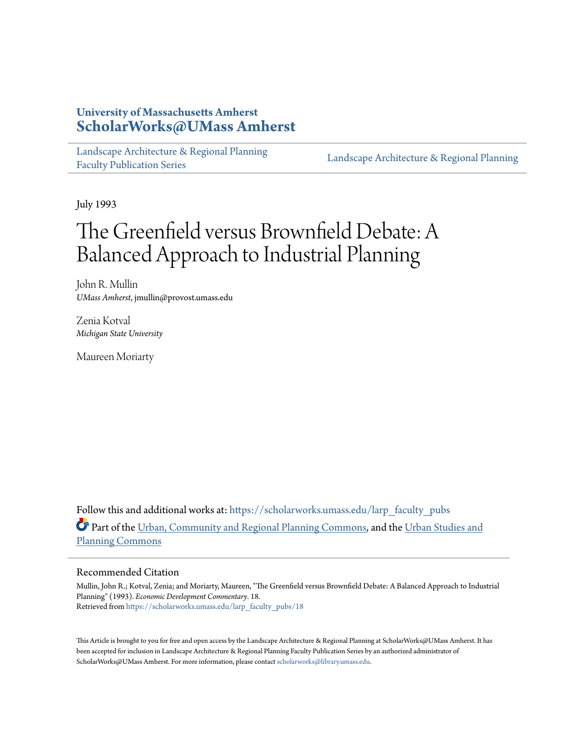## **University of Massachusetts Amherst [ScholarWorks@UMass Amherst](https://scholarworks.umass.edu?utm_source=scholarworks.umass.edu%2Flarp_faculty_pubs%2F18&utm_medium=PDF&utm_campaign=PDFCoverPages)**

[Landscape Architecture & Regional Planning](https://scholarworks.umass.edu/larp_faculty_pubs?utm_source=scholarworks.umass.edu%2Flarp_faculty_pubs%2F18&utm_medium=PDF&utm_campaign=PDFCoverPages) [Faculty Publication Series](https://scholarworks.umass.edu/larp_faculty_pubs?utm_source=scholarworks.umass.edu%2Flarp_faculty_pubs%2F18&utm_medium=PDF&utm_campaign=PDFCoverPages)

[Landscape Architecture & Regional Planning](https://scholarworks.umass.edu/larp?utm_source=scholarworks.umass.edu%2Flarp_faculty_pubs%2F18&utm_medium=PDF&utm_campaign=PDFCoverPages)

July 1993

# The Greenfield versus Brownfield Debate: A Balanced Approach to Industrial Planning

John R. Mullin *UMass Amherst*, jmullin@provost.umass.edu

Zenia Kotval *Michigan State University*

Maureen Moriarty

Follow this and additional works at: [https://scholarworks.umass.edu/larp\\_faculty\\_pubs](https://scholarworks.umass.edu/larp_faculty_pubs?utm_source=scholarworks.umass.edu%2Flarp_faculty_pubs%2F18&utm_medium=PDF&utm_campaign=PDFCoverPages) Part of the [Urban, Community and Regional Planning Commons](http://network.bepress.com/hgg/discipline/776?utm_source=scholarworks.umass.edu%2Flarp_faculty_pubs%2F18&utm_medium=PDF&utm_campaign=PDFCoverPages), and the [Urban Studies and](http://network.bepress.com/hgg/discipline/436?utm_source=scholarworks.umass.edu%2Flarp_faculty_pubs%2F18&utm_medium=PDF&utm_campaign=PDFCoverPages) [Planning Commons](http://network.bepress.com/hgg/discipline/436?utm_source=scholarworks.umass.edu%2Flarp_faculty_pubs%2F18&utm_medium=PDF&utm_campaign=PDFCoverPages)

#### Recommended Citation

Mullin, John R.; Kotval, Zenia; and Moriarty, Maureen, "The Greenfield versus Brownfield Debate: A Balanced Approach to Industrial Planning" (1993). *Economic Development Commentary*. 18. Retrieved from [https://scholarworks.umass.edu/larp\\_faculty\\_pubs/18](https://scholarworks.umass.edu/larp_faculty_pubs/18?utm_source=scholarworks.umass.edu%2Flarp_faculty_pubs%2F18&utm_medium=PDF&utm_campaign=PDFCoverPages)

This Article is brought to you for free and open access by the Landscape Architecture & Regional Planning at ScholarWorks@UMass Amherst. It has been accepted for inclusion in Landscape Architecture & Regional Planning Faculty Publication Series by an authorized administrator of ScholarWorks@UMass Amherst. For more information, please contact [scholarworks@library.umass.edu.](mailto:scholarworks@library.umass.edu)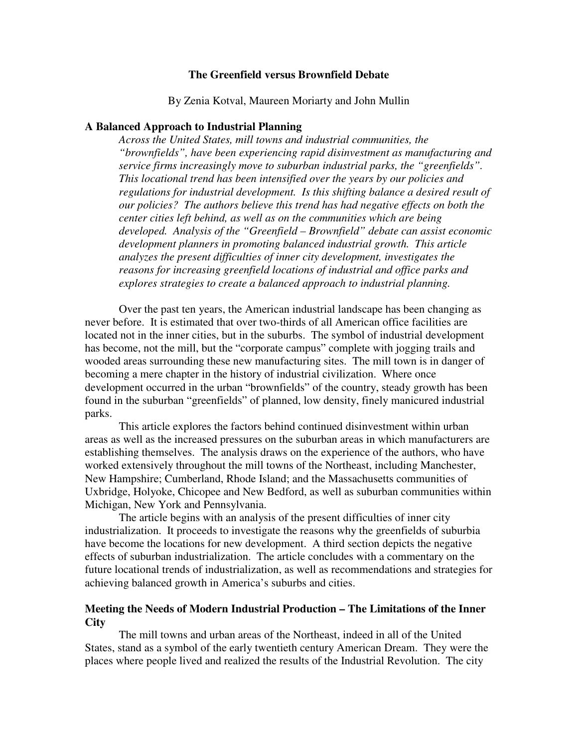## **The Greenfield versus Brownfield Debate**

By Zenia Kotval, Maureen Moriarty and John Mullin

## **A Balanced Approach to Industrial Planning**

*Across the United States, mill towns and industrial communities, the "brownfields", have been experiencing rapid disinvestment as manufacturing and service firms increasingly move to suburban industrial parks, the "greenfields". This locational trend has been intensified over the years by our policies and regulations for industrial development. Is this shifting balance a desired result of our policies? The authors believe this trend has had negative effects on both the center cities left behind, as well as on the communities which are being developed. Analysis of the "Greenfield – Brownfield" debate can assist economic development planners in promoting balanced industrial growth. This article analyzes the present difficulties of inner city development, investigates the reasons for increasing greenfield locations of industrial and office parks and explores strategies to create a balanced approach to industrial planning.* 

 Over the past ten years, the American industrial landscape has been changing as never before. It is estimated that over two-thirds of all American office facilities are located not in the inner cities, but in the suburbs. The symbol of industrial development has become, not the mill, but the "corporate campus" complete with jogging trails and wooded areas surrounding these new manufacturing sites. The mill town is in danger of becoming a mere chapter in the history of industrial civilization. Where once development occurred in the urban "brownfields" of the country, steady growth has been found in the suburban "greenfields" of planned, low density, finely manicured industrial parks.

 This article explores the factors behind continued disinvestment within urban areas as well as the increased pressures on the suburban areas in which manufacturers are establishing themselves. The analysis draws on the experience of the authors, who have worked extensively throughout the mill towns of the Northeast, including Manchester, New Hampshire; Cumberland, Rhode Island; and the Massachusetts communities of Uxbridge, Holyoke, Chicopee and New Bedford, as well as suburban communities within Michigan, New York and Pennsylvania.

 The article begins with an analysis of the present difficulties of inner city industrialization. It proceeds to investigate the reasons why the greenfields of suburbia have become the locations for new development. A third section depicts the negative effects of suburban industrialization. The article concludes with a commentary on the future locational trends of industrialization, as well as recommendations and strategies for achieving balanced growth in America's suburbs and cities.

## **Meeting the Needs of Modern Industrial Production – The Limitations of the Inner City**

 The mill towns and urban areas of the Northeast, indeed in all of the United States, stand as a symbol of the early twentieth century American Dream. They were the places where people lived and realized the results of the Industrial Revolution. The city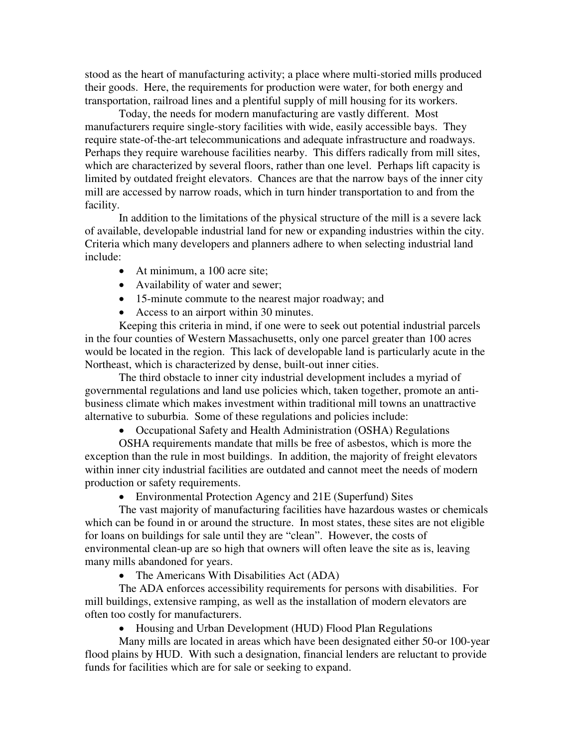stood as the heart of manufacturing activity; a place where multi-storied mills produced their goods. Here, the requirements for production were water, for both energy and transportation, railroad lines and a plentiful supply of mill housing for its workers.

 Today, the needs for modern manufacturing are vastly different. Most manufacturers require single-story facilities with wide, easily accessible bays. They require state-of-the-art telecommunications and adequate infrastructure and roadways. Perhaps they require warehouse facilities nearby. This differs radically from mill sites, which are characterized by several floors, rather than one level. Perhaps lift capacity is limited by outdated freight elevators. Chances are that the narrow bays of the inner city mill are accessed by narrow roads, which in turn hinder transportation to and from the facility.

 In addition to the limitations of the physical structure of the mill is a severe lack of available, developable industrial land for new or expanding industries within the city. Criteria which many developers and planners adhere to when selecting industrial land include:

- At minimum, a 100 acre site;
- Availability of water and sewer;
- 15-minute commute to the nearest major roadway; and
- Access to an airport within 30 minutes.

Keeping this criteria in mind, if one were to seek out potential industrial parcels in the four counties of Western Massachusetts, only one parcel greater than 100 acres would be located in the region. This lack of developable land is particularly acute in the Northeast, which is characterized by dense, built-out inner cities.

 The third obstacle to inner city industrial development includes a myriad of governmental regulations and land use policies which, taken together, promote an antibusiness climate which makes investment within traditional mill towns an unattractive alternative to suburbia. Some of these regulations and policies include:

• Occupational Safety and Health Administration (OSHA) Regulations

OSHA requirements mandate that mills be free of asbestos, which is more the exception than the rule in most buildings. In addition, the majority of freight elevators within inner city industrial facilities are outdated and cannot meet the needs of modern production or safety requirements.

• Environmental Protection Agency and 21E (Superfund) Sites

The vast majority of manufacturing facilities have hazardous wastes or chemicals which can be found in or around the structure. In most states, these sites are not eligible for loans on buildings for sale until they are "clean". However, the costs of environmental clean-up are so high that owners will often leave the site as is, leaving many mills abandoned for years.

• The Americans With Disabilities Act (ADA)

The ADA enforces accessibility requirements for persons with disabilities. For mill buildings, extensive ramping, as well as the installation of modern elevators are often too costly for manufacturers.

• Housing and Urban Development (HUD) Flood Plan Regulations

Many mills are located in areas which have been designated either 50-or 100-year flood plains by HUD. With such a designation, financial lenders are reluctant to provide funds for facilities which are for sale or seeking to expand.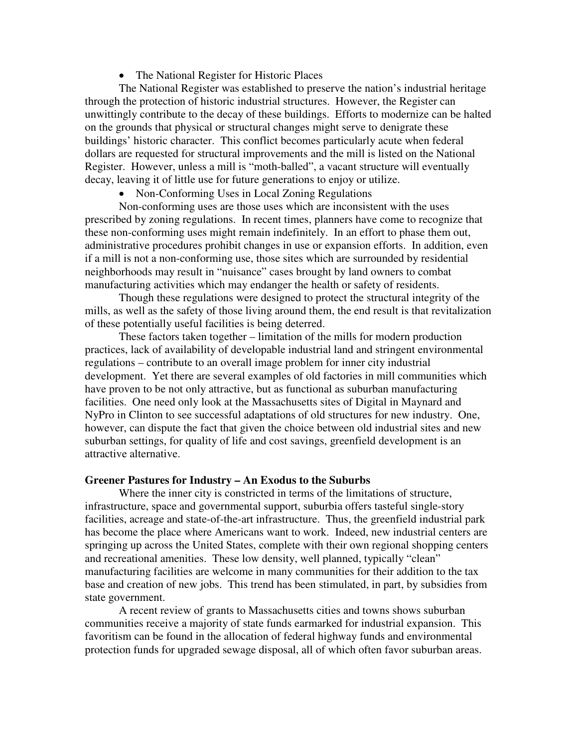• The National Register for Historic Places

The National Register was established to preserve the nation's industrial heritage through the protection of historic industrial structures. However, the Register can unwittingly contribute to the decay of these buildings. Efforts to modernize can be halted on the grounds that physical or structural changes might serve to denigrate these buildings' historic character. This conflict becomes particularly acute when federal dollars are requested for structural improvements and the mill is listed on the National Register. However, unless a mill is "moth-balled", a vacant structure will eventually decay, leaving it of little use for future generations to enjoy or utilize.

• Non-Conforming Uses in Local Zoning Regulations

Non-conforming uses are those uses which are inconsistent with the uses prescribed by zoning regulations. In recent times, planners have come to recognize that these non-conforming uses might remain indefinitely. In an effort to phase them out, administrative procedures prohibit changes in use or expansion efforts. In addition, even if a mill is not a non-conforming use, those sites which are surrounded by residential neighborhoods may result in "nuisance" cases brought by land owners to combat manufacturing activities which may endanger the health or safety of residents.

 Though these regulations were designed to protect the structural integrity of the mills, as well as the safety of those living around them, the end result is that revitalization of these potentially useful facilities is being deterred.

 These factors taken together – limitation of the mills for modern production practices, lack of availability of developable industrial land and stringent environmental regulations – contribute to an overall image problem for inner city industrial development. Yet there are several examples of old factories in mill communities which have proven to be not only attractive, but as functional as suburban manufacturing facilities. One need only look at the Massachusetts sites of Digital in Maynard and NyPro in Clinton to see successful adaptations of old structures for new industry. One, however, can dispute the fact that given the choice between old industrial sites and new suburban settings, for quality of life and cost savings, greenfield development is an attractive alternative.

#### **Greener Pastures for Industry – An Exodus to the Suburbs**

 Where the inner city is constricted in terms of the limitations of structure, infrastructure, space and governmental support, suburbia offers tasteful single-story facilities, acreage and state-of-the-art infrastructure. Thus, the greenfield industrial park has become the place where Americans want to work. Indeed, new industrial centers are springing up across the United States, complete with their own regional shopping centers and recreational amenities. These low density, well planned, typically "clean" manufacturing facilities are welcome in many communities for their addition to the tax base and creation of new jobs. This trend has been stimulated, in part, by subsidies from state government.

 A recent review of grants to Massachusetts cities and towns shows suburban communities receive a majority of state funds earmarked for industrial expansion. This favoritism can be found in the allocation of federal highway funds and environmental protection funds for upgraded sewage disposal, all of which often favor suburban areas.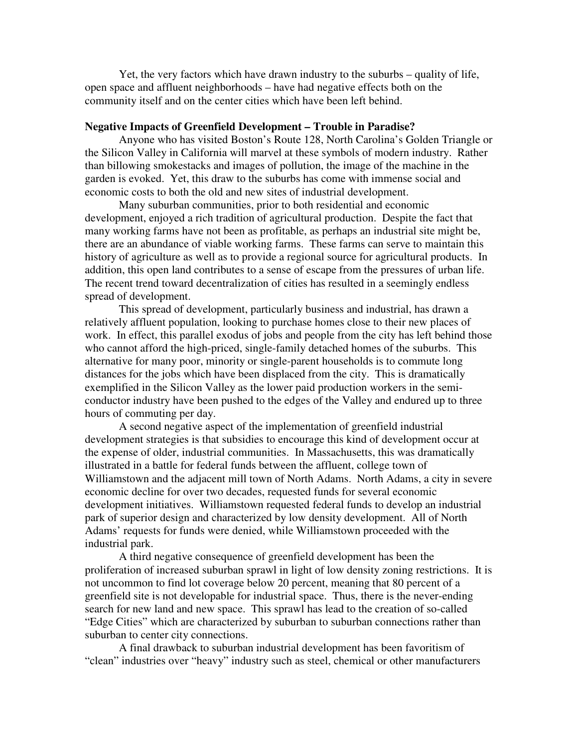Yet, the very factors which have drawn industry to the suburbs – quality of life, open space and affluent neighborhoods – have had negative effects both on the community itself and on the center cities which have been left behind.

## **Negative Impacts of Greenfield Development – Trouble in Paradise?**

 Anyone who has visited Boston's Route 128, North Carolina's Golden Triangle or the Silicon Valley in California will marvel at these symbols of modern industry. Rather than billowing smokestacks and images of pollution, the image of the machine in the garden is evoked. Yet, this draw to the suburbs has come with immense social and economic costs to both the old and new sites of industrial development.

 Many suburban communities, prior to both residential and economic development, enjoyed a rich tradition of agricultural production. Despite the fact that many working farms have not been as profitable, as perhaps an industrial site might be, there are an abundance of viable working farms. These farms can serve to maintain this history of agriculture as well as to provide a regional source for agricultural products. In addition, this open land contributes to a sense of escape from the pressures of urban life. The recent trend toward decentralization of cities has resulted in a seemingly endless spread of development.

 This spread of development, particularly business and industrial, has drawn a relatively affluent population, looking to purchase homes close to their new places of work. In effect, this parallel exodus of jobs and people from the city has left behind those who cannot afford the high-priced, single-family detached homes of the suburbs. This alternative for many poor, minority or single-parent households is to commute long distances for the jobs which have been displaced from the city. This is dramatically exemplified in the Silicon Valley as the lower paid production workers in the semiconductor industry have been pushed to the edges of the Valley and endured up to three hours of commuting per day.

 A second negative aspect of the implementation of greenfield industrial development strategies is that subsidies to encourage this kind of development occur at the expense of older, industrial communities. In Massachusetts, this was dramatically illustrated in a battle for federal funds between the affluent, college town of Williamstown and the adjacent mill town of North Adams. North Adams, a city in severe economic decline for over two decades, requested funds for several economic development initiatives. Williamstown requested federal funds to develop an industrial park of superior design and characterized by low density development. All of North Adams' requests for funds were denied, while Williamstown proceeded with the industrial park.

 A third negative consequence of greenfield development has been the proliferation of increased suburban sprawl in light of low density zoning restrictions. It is not uncommon to find lot coverage below 20 percent, meaning that 80 percent of a greenfield site is not developable for industrial space. Thus, there is the never-ending search for new land and new space. This sprawl has lead to the creation of so-called "Edge Cities" which are characterized by suburban to suburban connections rather than suburban to center city connections.

 A final drawback to suburban industrial development has been favoritism of "clean" industries over "heavy" industry such as steel, chemical or other manufacturers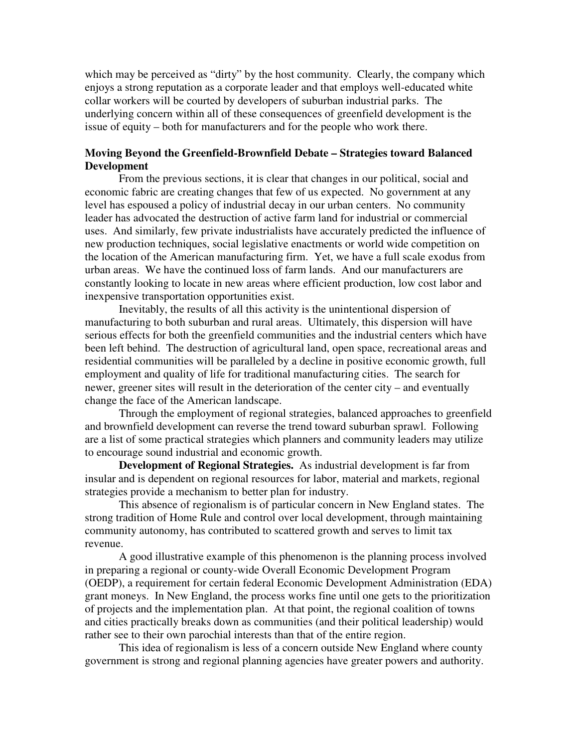which may be perceived as "dirty" by the host community. Clearly, the company which enjoys a strong reputation as a corporate leader and that employs well-educated white collar workers will be courted by developers of suburban industrial parks. The underlying concern within all of these consequences of greenfield development is the issue of equity – both for manufacturers and for the people who work there.

## **Moving Beyond the Greenfield-Brownfield Debate – Strategies toward Balanced Development**

 From the previous sections, it is clear that changes in our political, social and economic fabric are creating changes that few of us expected. No government at any level has espoused a policy of industrial decay in our urban centers. No community leader has advocated the destruction of active farm land for industrial or commercial uses. And similarly, few private industrialists have accurately predicted the influence of new production techniques, social legislative enactments or world wide competition on the location of the American manufacturing firm. Yet, we have a full scale exodus from urban areas. We have the continued loss of farm lands. And our manufacturers are constantly looking to locate in new areas where efficient production, low cost labor and inexpensive transportation opportunities exist.

 Inevitably, the results of all this activity is the unintentional dispersion of manufacturing to both suburban and rural areas. Ultimately, this dispersion will have serious effects for both the greenfield communities and the industrial centers which have been left behind. The destruction of agricultural land, open space, recreational areas and residential communities will be paralleled by a decline in positive economic growth, full employment and quality of life for traditional manufacturing cities. The search for newer, greener sites will result in the deterioration of the center city – and eventually change the face of the American landscape.

 Through the employment of regional strategies, balanced approaches to greenfield and brownfield development can reverse the trend toward suburban sprawl. Following are a list of some practical strategies which planners and community leaders may utilize to encourage sound industrial and economic growth.

**Development of Regional Strategies.** As industrial development is far from insular and is dependent on regional resources for labor, material and markets, regional strategies provide a mechanism to better plan for industry.

 This absence of regionalism is of particular concern in New England states. The strong tradition of Home Rule and control over local development, through maintaining community autonomy, has contributed to scattered growth and serves to limit tax revenue.

 A good illustrative example of this phenomenon is the planning process involved in preparing a regional or county-wide Overall Economic Development Program (OEDP), a requirement for certain federal Economic Development Administration (EDA) grant moneys. In New England, the process works fine until one gets to the prioritization of projects and the implementation plan. At that point, the regional coalition of towns and cities practically breaks down as communities (and their political leadership) would rather see to their own parochial interests than that of the entire region.

 This idea of regionalism is less of a concern outside New England where county government is strong and regional planning agencies have greater powers and authority.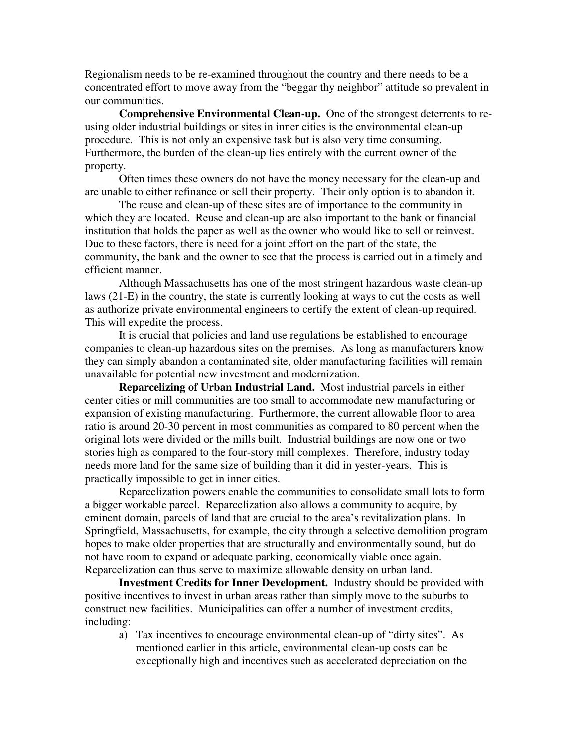Regionalism needs to be re-examined throughout the country and there needs to be a concentrated effort to move away from the "beggar thy neighbor" attitude so prevalent in our communities.

**Comprehensive Environmental Clean-up.** One of the strongest deterrents to reusing older industrial buildings or sites in inner cities is the environmental clean-up procedure. This is not only an expensive task but is also very time consuming. Furthermore, the burden of the clean-up lies entirely with the current owner of the property.

 Often times these owners do not have the money necessary for the clean-up and are unable to either refinance or sell their property. Their only option is to abandon it.

 The reuse and clean-up of these sites are of importance to the community in which they are located. Reuse and clean-up are also important to the bank or financial institution that holds the paper as well as the owner who would like to sell or reinvest. Due to these factors, there is need for a joint effort on the part of the state, the community, the bank and the owner to see that the process is carried out in a timely and efficient manner.

 Although Massachusetts has one of the most stringent hazardous waste clean-up laws (21-E) in the country, the state is currently looking at ways to cut the costs as well as authorize private environmental engineers to certify the extent of clean-up required. This will expedite the process.

 It is crucial that policies and land use regulations be established to encourage companies to clean-up hazardous sites on the premises. As long as manufacturers know they can simply abandon a contaminated site, older manufacturing facilities will remain unavailable for potential new investment and modernization.

**Reparcelizing of Urban Industrial Land.** Most industrial parcels in either center cities or mill communities are too small to accommodate new manufacturing or expansion of existing manufacturing. Furthermore, the current allowable floor to area ratio is around 20-30 percent in most communities as compared to 80 percent when the original lots were divided or the mills built. Industrial buildings are now one or two stories high as compared to the four-story mill complexes. Therefore, industry today needs more land for the same size of building than it did in yester-years. This is practically impossible to get in inner cities.

 Reparcelization powers enable the communities to consolidate small lots to form a bigger workable parcel. Reparcelization also allows a community to acquire, by eminent domain, parcels of land that are crucial to the area's revitalization plans. In Springfield, Massachusetts, for example, the city through a selective demolition program hopes to make older properties that are structurally and environmentally sound, but do not have room to expand or adequate parking, economically viable once again. Reparcelization can thus serve to maximize allowable density on urban land.

**Investment Credits for Inner Development.** Industry should be provided with positive incentives to invest in urban areas rather than simply move to the suburbs to construct new facilities. Municipalities can offer a number of investment credits, including:

a) Tax incentives to encourage environmental clean-up of "dirty sites". As mentioned earlier in this article, environmental clean-up costs can be exceptionally high and incentives such as accelerated depreciation on the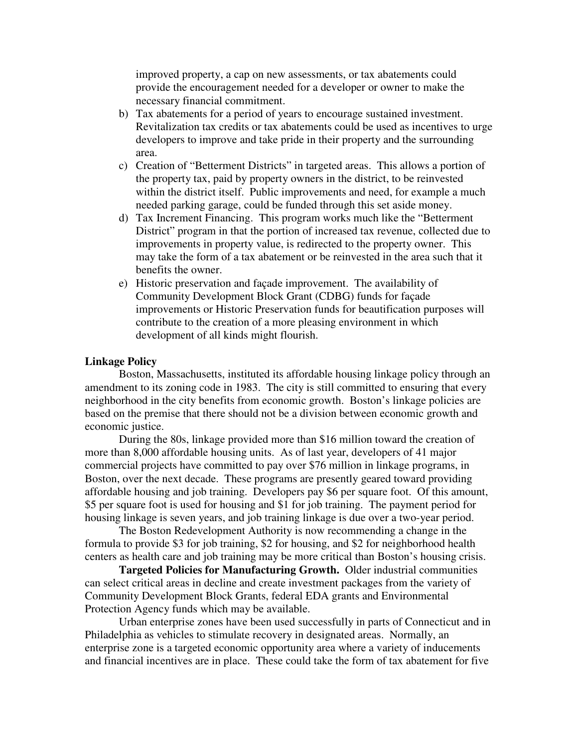improved property, a cap on new assessments, or tax abatements could provide the encouragement needed for a developer or owner to make the necessary financial commitment.

- b) Tax abatements for a period of years to encourage sustained investment. Revitalization tax credits or tax abatements could be used as incentives to urge developers to improve and take pride in their property and the surrounding area.
- c) Creation of "Betterment Districts" in targeted areas. This allows a portion of the property tax, paid by property owners in the district, to be reinvested within the district itself. Public improvements and need, for example a much needed parking garage, could be funded through this set aside money.
- d) Tax Increment Financing. This program works much like the "Betterment District" program in that the portion of increased tax revenue, collected due to improvements in property value, is redirected to the property owner. This may take the form of a tax abatement or be reinvested in the area such that it benefits the owner.
- e) Historic preservation and façade improvement. The availability of Community Development Block Grant (CDBG) funds for façade improvements or Historic Preservation funds for beautification purposes will contribute to the creation of a more pleasing environment in which development of all kinds might flourish.

## **Linkage Policy**

 Boston, Massachusetts, instituted its affordable housing linkage policy through an amendment to its zoning code in 1983. The city is still committed to ensuring that every neighborhood in the city benefits from economic growth. Boston's linkage policies are based on the premise that there should not be a division between economic growth and economic justice.

 During the 80s, linkage provided more than \$16 million toward the creation of more than 8,000 affordable housing units. As of last year, developers of 41 major commercial projects have committed to pay over \$76 million in linkage programs, in Boston, over the next decade. These programs are presently geared toward providing affordable housing and job training. Developers pay \$6 per square foot. Of this amount, \$5 per square foot is used for housing and \$1 for job training. The payment period for housing linkage is seven years, and job training linkage is due over a two-year period.

 The Boston Redevelopment Authority is now recommending a change in the formula to provide \$3 for job training, \$2 for housing, and \$2 for neighborhood health centers as health care and job training may be more critical than Boston's housing crisis.

**Targeted Policies for Manufacturing Growth.** Older industrial communities can select critical areas in decline and create investment packages from the variety of Community Development Block Grants, federal EDA grants and Environmental Protection Agency funds which may be available.

 Urban enterprise zones have been used successfully in parts of Connecticut and in Philadelphia as vehicles to stimulate recovery in designated areas. Normally, an enterprise zone is a targeted economic opportunity area where a variety of inducements and financial incentives are in place. These could take the form of tax abatement for five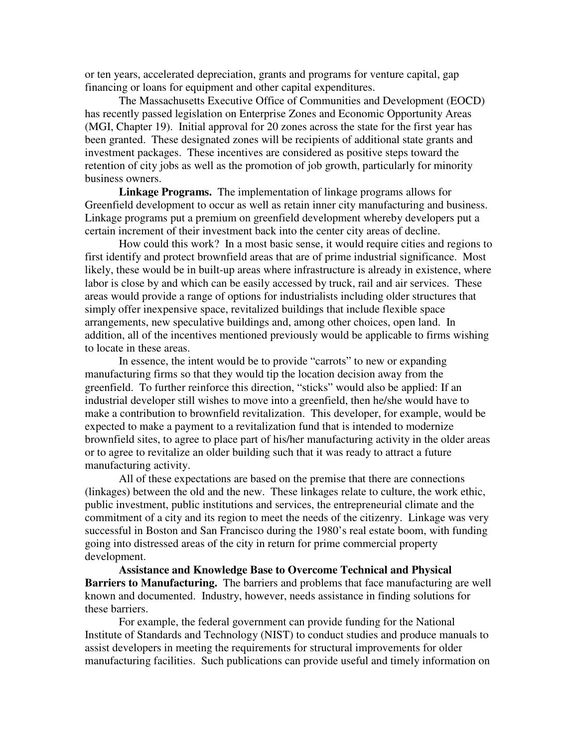or ten years, accelerated depreciation, grants and programs for venture capital, gap financing or loans for equipment and other capital expenditures.

 The Massachusetts Executive Office of Communities and Development (EOCD) has recently passed legislation on Enterprise Zones and Economic Opportunity Areas (MGI, Chapter 19). Initial approval for 20 zones across the state for the first year has been granted. These designated zones will be recipients of additional state grants and investment packages. These incentives are considered as positive steps toward the retention of city jobs as well as the promotion of job growth, particularly for minority business owners.

**Linkage Programs.** The implementation of linkage programs allows for Greenfield development to occur as well as retain inner city manufacturing and business. Linkage programs put a premium on greenfield development whereby developers put a certain increment of their investment back into the center city areas of decline.

 How could this work? In a most basic sense, it would require cities and regions to first identify and protect brownfield areas that are of prime industrial significance. Most likely, these would be in built-up areas where infrastructure is already in existence, where labor is close by and which can be easily accessed by truck, rail and air services. These areas would provide a range of options for industrialists including older structures that simply offer inexpensive space, revitalized buildings that include flexible space arrangements, new speculative buildings and, among other choices, open land. In addition, all of the incentives mentioned previously would be applicable to firms wishing to locate in these areas.

 In essence, the intent would be to provide "carrots" to new or expanding manufacturing firms so that they would tip the location decision away from the greenfield. To further reinforce this direction, "sticks" would also be applied: If an industrial developer still wishes to move into a greenfield, then he/she would have to make a contribution to brownfield revitalization. This developer, for example, would be expected to make a payment to a revitalization fund that is intended to modernize brownfield sites, to agree to place part of his/her manufacturing activity in the older areas or to agree to revitalize an older building such that it was ready to attract a future manufacturing activity.

 All of these expectations are based on the premise that there are connections (linkages) between the old and the new. These linkages relate to culture, the work ethic, public investment, public institutions and services, the entrepreneurial climate and the commitment of a city and its region to meet the needs of the citizenry. Linkage was very successful in Boston and San Francisco during the 1980's real estate boom, with funding going into distressed areas of the city in return for prime commercial property development.

 **Assistance and Knowledge Base to Overcome Technical and Physical Barriers to Manufacturing.** The barriers and problems that face manufacturing are well known and documented. Industry, however, needs assistance in finding solutions for these barriers.

 For example, the federal government can provide funding for the National Institute of Standards and Technology (NIST) to conduct studies and produce manuals to assist developers in meeting the requirements for structural improvements for older manufacturing facilities. Such publications can provide useful and timely information on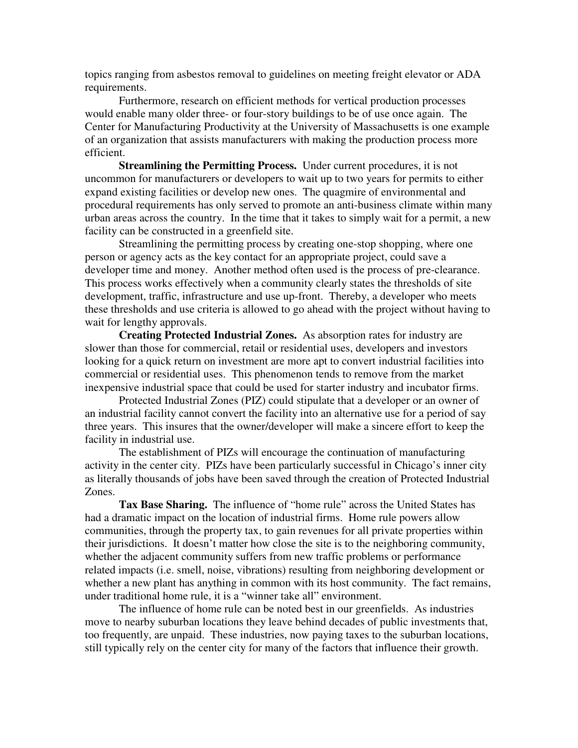topics ranging from asbestos removal to guidelines on meeting freight elevator or ADA requirements.

 Furthermore, research on efficient methods for vertical production processes would enable many older three- or four-story buildings to be of use once again. The Center for Manufacturing Productivity at the University of Massachusetts is one example of an organization that assists manufacturers with making the production process more efficient.

**Streamlining the Permitting Process.** Under current procedures, it is not uncommon for manufacturers or developers to wait up to two years for permits to either expand existing facilities or develop new ones. The quagmire of environmental and procedural requirements has only served to promote an anti-business climate within many urban areas across the country. In the time that it takes to simply wait for a permit, a new facility can be constructed in a greenfield site.

 Streamlining the permitting process by creating one-stop shopping, where one person or agency acts as the key contact for an appropriate project, could save a developer time and money. Another method often used is the process of pre-clearance. This process works effectively when a community clearly states the thresholds of site development, traffic, infrastructure and use up-front. Thereby, a developer who meets these thresholds and use criteria is allowed to go ahead with the project without having to wait for lengthy approvals.

**Creating Protected Industrial Zones.** As absorption rates for industry are slower than those for commercial, retail or residential uses, developers and investors looking for a quick return on investment are more apt to convert industrial facilities into commercial or residential uses. This phenomenon tends to remove from the market inexpensive industrial space that could be used for starter industry and incubator firms.

 Protected Industrial Zones (PIZ) could stipulate that a developer or an owner of an industrial facility cannot convert the facility into an alternative use for a period of say three years. This insures that the owner/developer will make a sincere effort to keep the facility in industrial use.

 The establishment of PIZs will encourage the continuation of manufacturing activity in the center city. PIZs have been particularly successful in Chicago's inner city as literally thousands of jobs have been saved through the creation of Protected Industrial Zones.

**Tax Base Sharing.** The influence of "home rule" across the United States has had a dramatic impact on the location of industrial firms. Home rule powers allow communities, through the property tax, to gain revenues for all private properties within their jurisdictions. It doesn't matter how close the site is to the neighboring community, whether the adjacent community suffers from new traffic problems or performance related impacts (i.e. smell, noise, vibrations) resulting from neighboring development or whether a new plant has anything in common with its host community. The fact remains, under traditional home rule, it is a "winner take all" environment.

 The influence of home rule can be noted best in our greenfields. As industries move to nearby suburban locations they leave behind decades of public investments that, too frequently, are unpaid. These industries, now paying taxes to the suburban locations, still typically rely on the center city for many of the factors that influence their growth.